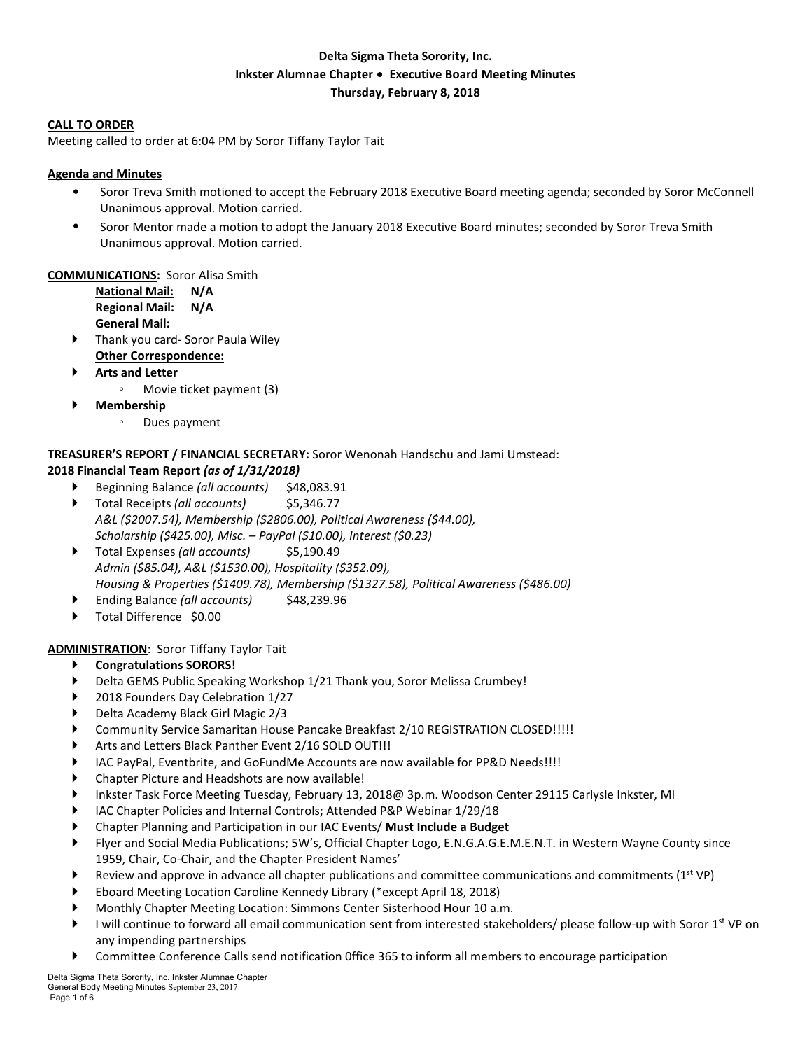# **Delta Sigma Theta Sorority, Inc. Inkster Alumnae Chapter** ∙ **Executive Board Meeting Minutes Thursday, February 8, 2018**

#### **CALL TO ORDER**

Meeting called to order at 6:04 PM by Soror Tiffany Taylor Tait

### **Agenda and Minutes**

- Soror Treva Smith motioned to accept the February 2018 Executive Board meeting agenda; seconded by Soror McConnell Unanimous approval. Motion carried.
- Soror Mentor made a motion to adopt the January 2018 Executive Board minutes; seconded by Soror Treva Smith Unanimous approval. Motion carried.

#### **COMMUNICATIONS:** Soror Alisa Smith

**National Mail: N/A Regional Mail: N/A General Mail:** 

- Thank you card- Soror Paula Wiley **Other Correspondence:**
- **Arts and Letter**
	- Movie ticket payment (3)
- **Membership**
	- Dues payment

### **TREASURER'S REPORT / FINANCIAL SECRETARY:** Soror Wenonah Handschu and Jami Umstead:

#### **2018 Financial Team Report** *(as of 1/31/2018)*

- Beginning Balance *(all accounts)* \$48,083.91
- Total Receipts *(all accounts)* \$5,346.77 *A&L (\$2007.54), Membership (\$2806.00), Political Awareness (\$44.00), Scholarship (\$425.00), Misc. – PayPal (\$10.00), Interest (\$0.23)*
- ▶ Total Expenses (all *accounts*) \$5,190.49 *Admin (\$85.04), A&L (\$1530.00), Hospitality (\$352.09), Housing & Properties (\$1409.78), Membership (\$1327.58), Political Awareness (\$486.00)*
- Ending Balance *(all accounts)* \$48,239.96
- Total Difference \$0.00

### **ADMINISTRATION**: Soror Tiffany Taylor Tait

- **Congratulations SORORS!**
- Delta GEMS Public Speaking Workshop 1/21 Thank you, Soror Melissa Crumbey!
- 2018 Founders Day Celebration 1/27
- Delta Academy Black Girl Magic 2/3
- Community Service Samaritan House Pancake Breakfast 2/10 REGISTRATION CLOSED!!!!!
- Arts and Letters Black Panther Event 2/16 SOLD OUT!!!
- IAC PayPal, Eventbrite, and GoFundMe Accounts are now available for PP&D Needs!!!!
- Chapter Picture and Headshots are now available!
- Inkster Task Force Meeting Tuesday, February 13, 2018@ 3p.m. Woodson Center 29115 Carlysle Inkster, MI
- IAC Chapter Policies and Internal Controls; Attended P&P Webinar 1/29/18
- Chapter Planning and Participation in our IAC Events/ **Must Include a Budget**
- Flyer and Social Media Publications; 5W's, Official Chapter Logo, E.N.G.A.G.E.M.E.N.T. in Western Wayne County since 1959, Chair, Co-Chair, and the Chapter President Names'
- Review and approve in advance all chapter publications and committee communications and commitments  $(1^{st} VP)$
- Eboard Meeting Location Caroline Kennedy Library (\*except April 18, 2018)
- Monthly Chapter Meeting Location: Simmons Center Sisterhood Hour 10 a.m.
- I will continue to forward all email communication sent from interested stakeholders/ please follow-up with Soror 1<sup>st</sup> VP on any impending partnerships
- Committee Conference Calls send notification 0ffice 365 to inform all members to encourage participation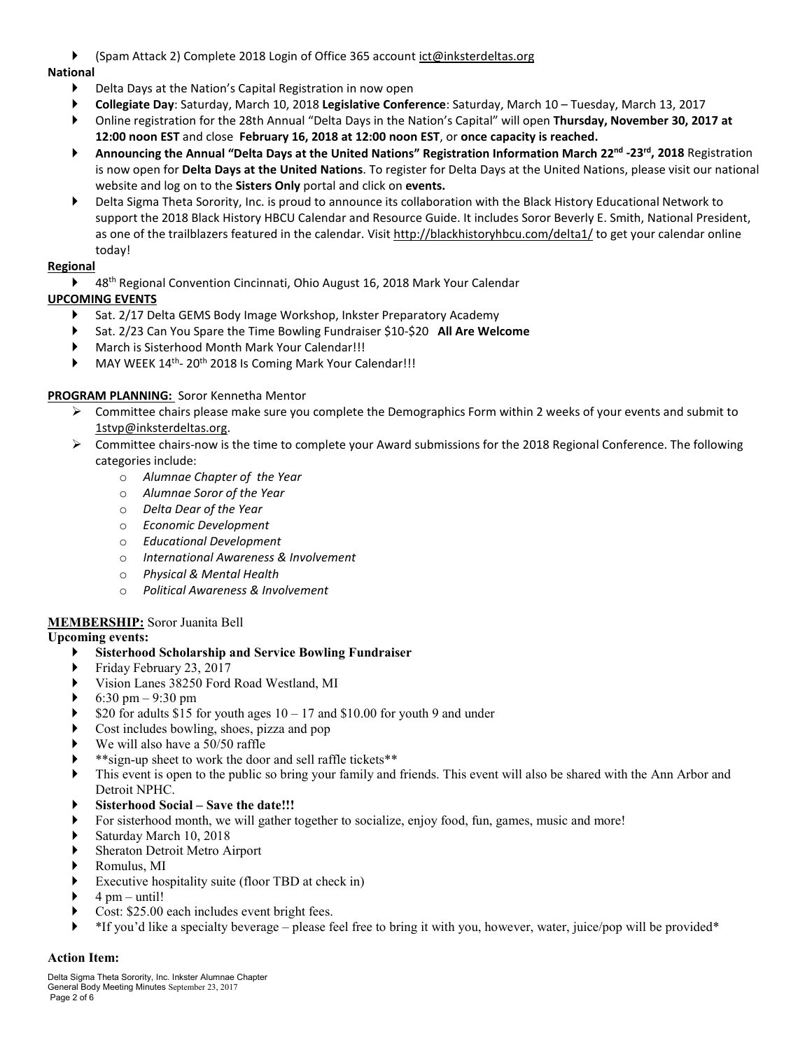(Spam Attack 2) Complete 2018 Login of Office 365 account ict@inksterdeltas.org

## **National**

- Delta Days at the Nation's Capital Registration in now open
- **Collegiate Day**: Saturday, March 10, 2018 **Legislative Conference**: Saturday, March 10 Tuesday, March 13, 2017
- Online registration for the 28th Annual "Delta Days in the Nation's Capital" will open **Thursday, November 30, 2017 at 12:00 noon EST** and close **February 16, 2018 at 12:00 noon EST**, or **once capacity is reached.**
- **Announcing the Annual "Delta Days at the United Nations" Registration Information March 22nd -23rd, 2018** Registration is now open for **Delta Days at the United Nations**. To register for Delta Days at the United Nations, please visit our national website and log on to the **Sisters Only** portal and click on **events.**
- Delta Sigma Theta Sorority, Inc. is proud to announce its collaboration with the Black History Educational Network to support the 2018 Black History HBCU Calendar and Resource Guide. It includes Soror Beverly E. Smith, National President, as one of the trailblazers featured in the calendar. Visit http://blackhistoryhbcu.com/delta1/ to get your calendar online today!

## **Regional**

▶ 48<sup>th</sup> Regional Convention Cincinnati, Ohio August 16, 2018 Mark Your Calendar

# **UPCOMING EVENTS**

- Sat. 2/17 Delta GEMS Body Image Workshop, Inkster Preparatory Academy
- Sat. 2/23 Can You Spare the Time Bowling Fundraiser \$10-\$20 **All Are Welcome**
- March is Sisterhood Month Mark Your Calendar!!!
- MAY WEEK 14<sup>th</sup>- 20<sup>th</sup> 2018 Is Coming Mark Your Calendar!!!

## **PROGRAM PLANNING:** Soror Kennetha Mentor

- $\triangleright$  Committee chairs please make sure you complete the Demographics Form within 2 weeks of your events and submit to 1stvp@inksterdeltas.org.
- $\triangleright$  Committee chairs-now is the time to complete your Award submissions for the 2018 Regional Conference. The following categories include:
	- o *Alumnae Chapter of the Year*
	- o *Alumnae Soror of the Year*
	- o *Delta Dear of the Year*
	- o *Economic Development*
	- o *Educational Development*
	- o *International Awareness & Involvement*
	- o *Physical & Mental Health*
	- o *Political Awareness & Involvement*

## **MEMBERSHIP:** Soror Juanita Bell

### **Upcoming events:**

## **Sisterhood Scholarship and Service Bowling Fundraiser**

- Friday February 23, 2017
- Vision Lanes 38250 Ford Road Westland, MI
- 6:30 pm 9:30 pm
- \$20 for adults \$15 for youth ages  $10 17$  and \$10.00 for youth 9 and under
- Cost includes bowling, shoes, pizza and pop
- We will also have a 50/50 raffle
- \*\*sign-up sheet to work the door and sell raffle tickets\*\*
- This event is open to the public so bring your family and friends. This event will also be shared with the Ann Arbor and Detroit NPHC.
- **Sisterhood Social – Save the date!!!**
- For sisterhood month, we will gather together to socialize, enjoy food, fun, games, music and more!
- Saturday March 10, 2018
- Sheraton Detroit Metro Airport
- Romulus, MI
- Executive hospitality suite (floor TBD at check in)
- $\blacktriangleright$  4 pm until!
- Cost: \$25.00 each includes event bright fees.
- \*If you'd like a specialty beverage please feel free to bring it with you, however, water, juice/pop will be provided\*

### **Action Item:**

Delta Sigma Theta Sorority, Inc. Inkster Alumnae Chapter General Body Meeting Minutes September 23, 2017 Page 2 of 6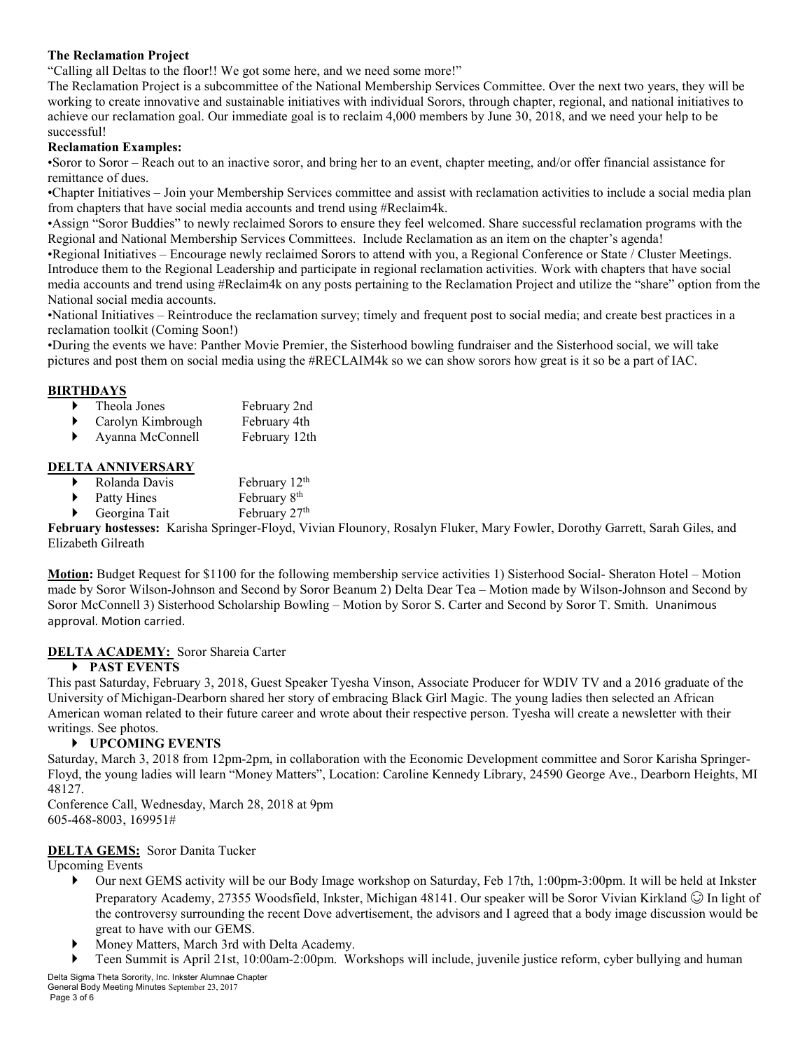### **The Reclamation Project**

"Calling all Deltas to the floor!! We got some here, and we need some more!"

The Reclamation Project is a subcommittee of the National Membership Services Committee. Over the next two years, they will be working to create innovative and sustainable initiatives with individual Sorors, through chapter, regional, and national initiatives to achieve our reclamation goal. Our immediate goal is to reclaim 4,000 members by June 30, 2018, and we need your help to be successful!

#### **Reclamation Examples:**

•Soror to Soror – Reach out to an inactive soror, and bring her to an event, chapter meeting, and/or offer financial assistance for remittance of dues.

•Chapter Initiatives – Join your Membership Services committee and assist with reclamation activities to include a social media plan from chapters that have social media accounts and trend using #Reclaim4k.

•Assign "Soror Buddies" to newly reclaimed Sorors to ensure they feel welcomed. Share successful reclamation programs with the Regional and National Membership Services Committees. Include Reclamation as an item on the chapter's agenda!

•Regional Initiatives – Encourage newly reclaimed Sorors to attend with you, a Regional Conference or State / Cluster Meetings. Introduce them to the Regional Leadership and participate in regional reclamation activities. Work with chapters that have social media accounts and trend using #Reclaim4k on any posts pertaining to the Reclamation Project and utilize the "share" option from the National social media accounts.

•National Initiatives – Reintroduce the reclamation survey; timely and frequent post to social media; and create best practices in a reclamation toolkit (Coming Soon!)

•During the events we have: Panther Movie Premier, the Sisterhood bowling fundraiser and the Sisterhood social, we will take pictures and post them on social media using the #RECLAIM4k so we can show sorors how great is it so be a part of IAC.

### **BIRTHDAYS**

- Theola Jones February 2nd
- ▶ Carolyn Kimbrough February 4th
- Ayanna McConnell February 12th

### **DELTA ANNIVERSARY**

- Rolanda Davis February 12<sup>th</sup>
- Patty Hines February 8<sup>th</sup>
	- Georgina Tait February 27<sup>th</sup>

**February hostesses:** Karisha Springer-Floyd, Vivian Flounory, Rosalyn Fluker, Mary Fowler, Dorothy Garrett, Sarah Giles, and Elizabeth Gilreath

**Motion:** Budget Request for \$1100 for the following membership service activities 1) Sisterhood Social- Sheraton Hotel – Motion made by Soror Wilson-Johnson and Second by Soror Beanum 2) Delta Dear Tea – Motion made by Wilson-Johnson and Second by Soror McConnell 3) Sisterhood Scholarship Bowling – Motion by Soror S. Carter and Second by Soror T. Smith. Unanimous approval. Motion carried.

### **DELTA ACADEMY:** Soror Shareia Carter

### **PAST EVENTS**

This past Saturday, February 3, 2018, Guest Speaker Tyesha Vinson, Associate Producer for WDIV TV and a 2016 graduate of the University of Michigan-Dearborn shared her story of embracing Black Girl Magic. The young ladies then selected an African American woman related to their future career and wrote about their respective person. Tyesha will create a newsletter with their writings. See photos.

### **UPCOMING EVENTS**

Saturday, March 3, 2018 from 12pm-2pm, in collaboration with the Economic Development committee and Soror Karisha Springer-Floyd, the young ladies will learn "Money Matters", Location: Caroline Kennedy Library, 24590 George Ave., Dearborn Heights, MI 48127.

Conference Call, Wednesday, March 28, 2018 at 9pm 605-468-8003, 169951#

### **DELTA GEMS:** Soror Danita Tucker

Upcoming Events

- Our next GEMS activity will be our Body Image workshop on Saturday, Feb 17th, 1:00pm-3:00pm. It will be held at Inkster Preparatory Academy, 27355 Woodsfield, Inkster, Michigan 48141. Our speaker will be Soror Vivian Kirkland  $\odot$  In light of the controversy surrounding the recent Dove advertisement, the advisors and I agreed that a body image discussion would be great to have with our GEMS.
- Money Matters, March 3rd with Delta Academy.
- Teen Summit is April 21st, 10:00am-2:00pm. Workshops will include, juvenile justice reform, cyber bullying and human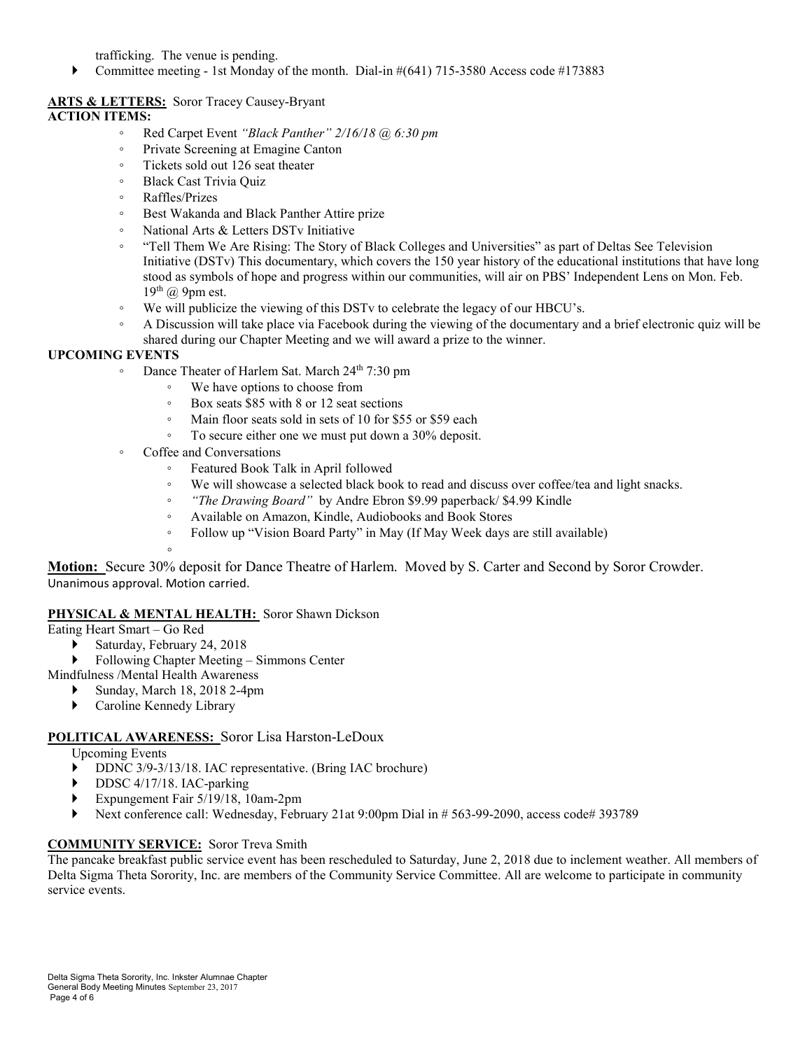trafficking. The venue is pending.

Committee meeting - 1st Monday of the month. Dial-in #(641) 715-3580 Access code #173883

### **ARTS & LETTERS:** Soror Tracey Causey-Bryant **ACTION ITEMS:**

- Red Carpet Event *"Black Panther" 2/16/18 @ 6:30 pm*
- Private Screening at Emagine Canton
- Tickets sold out 126 seat theater
- Black Cast Trivia Quiz
- Raffles/Prizes
- Best Wakanda and Black Panther Attire prize
- National Arts & Letters DSTv Initiative
- "Tell Them We Are Rising: The Story of Black Colleges and Universities" as part of Deltas See Television Initiative (DSTv) This documentary, which covers the 150 year history of the educational institutions that have long stood as symbols of hope and progress within our communities, will air on PBS' Independent Lens on Mon. Feb.  $19<sup>th</sup>$  @ 9pm est.
- We will publicize the viewing of this DSTv to celebrate the legacy of our HBCU's.
- A Discussion will take place via Facebook during the viewing of the documentary and a brief electronic quiz will be shared during our Chapter Meeting and we will award a prize to the winner.

## **UPCOMING EVENTS**

- Dance Theater of Harlem Sat. March 24th 7:30 pm
	- We have options to choose from
	- Box seats \$85 with 8 or 12 seat sections
	- Main floor seats sold in sets of 10 for \$55 or \$59 each
	- To secure either one we must put down a 30% deposit.
- Coffee and Conversations
	- Featured Book Talk in April followed
	- We will showcase a selected black book to read and discuss over coffee/tea and light snacks.
	- *"The Drawing Board"* by Andre Ebron \$9.99 paperback/ \$4.99 Kindle
	- Available on Amazon, Kindle, Audiobooks and Book Stores
	- Follow up "Vision Board Party" in May (If May Week days are still available)

◦

**Motion:** Secure 30% deposit for Dance Theatre of Harlem. Moved by S. Carter and Second by Soror Crowder. Unanimous approval. Motion carried.

## **PHYSICAL & MENTAL HEALTH:** Soror Shawn Dickson

- Eating Heart Smart Go Red
	- Saturday, February 24, 2018
	- ▶ Following Chapter Meeting Simmons Center
- Mindfulness /Mental Health Awareness
	- Sunday, March 18, 2018 2-4pm
	- Caroline Kennedy Library

### **POLITICAL AWARENESS:** Soror Lisa Harston-LeDoux

Upcoming Events

- DDNC 3/9-3/13/18. IAC representative. (Bring IAC brochure)
- DDSC 4/17/18. IAC-parking
- Expungement Fair 5/19/18, 10am-2pm
- Next conference call: Wednesday, February 21at 9:00pm Dial in # 563-99-2090, access code# 393789

## **COMMUNITY SERVICE:** Soror Treva Smith

The pancake breakfast public service event has been rescheduled to Saturday, June 2, 2018 due to inclement weather. All members of Delta Sigma Theta Sorority, Inc. are members of the Community Service Committee. All are welcome to participate in community service events.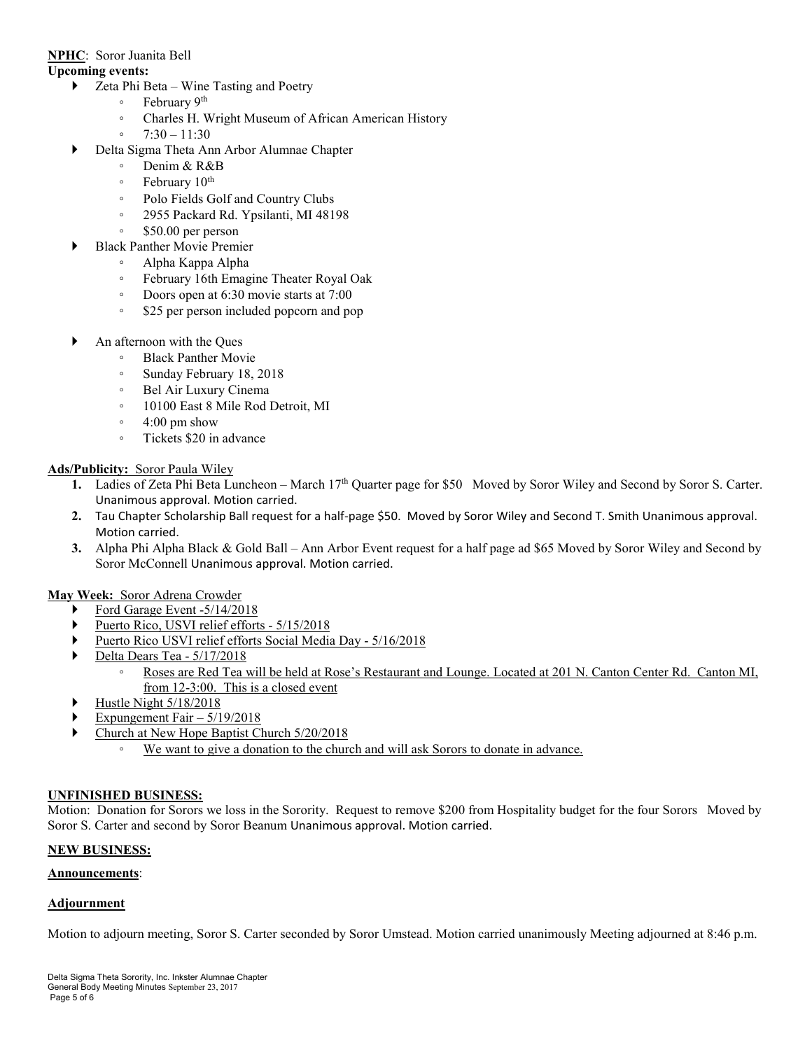### **NPHC**: Soror Juanita Bell

#### **Upcoming events:**

- ▶ Zeta Phi Beta Wine Tasting and Poetry
	- February 9th
	- Charles H. Wright Museum of African American History
	- 7:30 11:30
	- Delta Sigma Theta Ann Arbor Alumnae Chapter
		- Denim & R&B
		- February 10th
		- Polo Fields Golf and Country Clubs
		- 2955 Packard Rd. Ypsilanti, MI 48198
		- \$50.00 per person
- Black Panther Movie Premier
	- Alpha Kappa Alpha
	- February 16th Emagine Theater Royal Oak
	- Doors open at 6:30 movie starts at 7:00
	- \$25 per person included popcorn and pop
- An afternoon with the Ques
	- Black Panther Movie
	- Sunday February 18, 2018
	- Bel Air Luxury Cinema
	- 10100 East 8 Mile Rod Detroit, MI
	- 4:00 pm show
	- Tickets \$20 in advance

### **Ads/Publicity:** Soror Paula Wiley

- **1.** Ladies of Zeta Phi Beta Luncheon March 17<sup>th</sup> Quarter page for \$50 Moved by Soror Wiley and Second by Soror S. Carter. Unanimous approval. Motion carried.
- **2.** Tau Chapter Scholarship Ball request for a half-page \$50. Moved by Soror Wiley and Second T. Smith Unanimous approval. Motion carried.
- **3.** Alpha Phi Alpha Black & Gold Ball Ann Arbor Event request for a half page ad \$65 Moved by Soror Wiley and Second by Soror McConnell Unanimous approval. Motion carried.

### **May Week:** Soror Adrena Crowder

- Ford Garage Event -5/14/2018
- Puerto Rico, USVI relief efforts 5/15/2018
- Puerto Rico USVI relief efforts Social Media Day 5/16/2018
- Delta Dears Tea 5/17/2018
	- Roses are Red Tea will be held at Rose's Restaurant and Lounge. Located at 201 N. Canton Center Rd. Canton MI, from 12-3:00. This is a closed event
- Hustle Night 5/18/2018
- Expungement Fair 5/19/2018
- **Church at New Hope Baptist Church 5/20/2018** 
	- We want to give a donation to the church and will ask Sorors to donate in advance.

### **UNFINISHED BUSINESS:**

Motion: Donation for Sorors we loss in the Sorority. Request to remove \$200 from Hospitality budget for the four Sorors Moved by Soror S. Carter and second by Soror Beanum Unanimous approval. Motion carried.

### **NEW BUSINESS:**

### **Announcements**:

### **Adjournment**

Motion to adjourn meeting, Soror S. Carter seconded by Soror Umstead. Motion carried unanimously Meeting adjourned at 8:46 p.m.